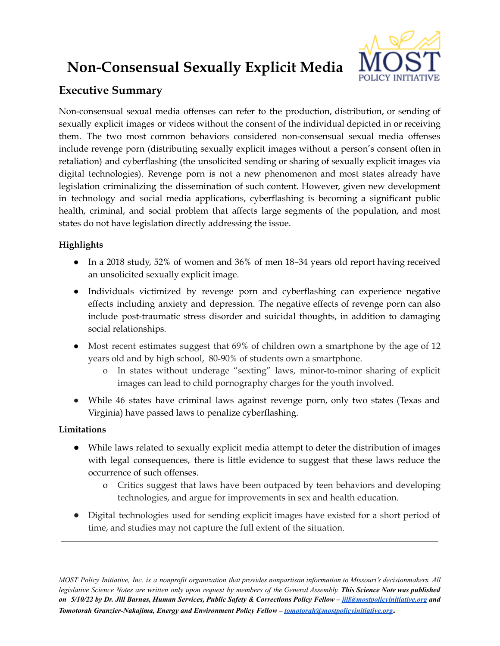# **Non-Consensual Sexually Explicit Media**



## **Executive Summary**

Non-consensual sexual media offenses can refer to the production, distribution, or sending of sexually explicit images or videos without the consent of the individual depicted in or receiving them. The two most common behaviors considered non-consensual sexual media offenses include revenge porn (distributing sexually explicit images without a person's consent often in retaliation) and cyberflashing (the unsolicited sending or sharing of sexually explicit images via digital technologies). Revenge porn is not a new phenomenon and most states already have legislation criminalizing the dissemination of such content. However, given new development in technology and social media applications, cyberflashing is becoming a significant public health, criminal, and social problem that affects large segments of the population, and most states do not have legislation directly addressing the issue.

## **Highlights**

- In a 2018 study, 52% of women and 36% of men 18–34 years old report having received an unsolicited sexually explicit image.
- Individuals victimized by revenge porn and cyberflashing can experience negative effects including anxiety and depression. The negative effects of revenge porn can also include post-traumatic stress disorder and suicidal thoughts, in addition to damaging social relationships.
- Most recent estimates suggest that 69% of children own a smartphone by the age of 12 years old and by high school, 80-90% of students own a smartphone.
	- o In states without underage "sexting" laws, minor-to-minor sharing of explicit images can lead to child pornography charges for the youth involved.
- While 46 states have criminal laws against revenge porn, only two states (Texas and Virginia) have passed laws to penalize cyberflashing.

### **Limitations**

- While laws related to sexually explicit media attempt to deter the distribution of images with legal consequences, there is little evidence to suggest that these laws reduce the occurrence of such offenses.
	- o Critics suggest that laws have been outpaced by teen behaviors and developing technologies, and argue for improvements in sex and health education.
- Digital technologies used for sending explicit images have existed for a short period of time, and studies may not capture the full extent of the situation.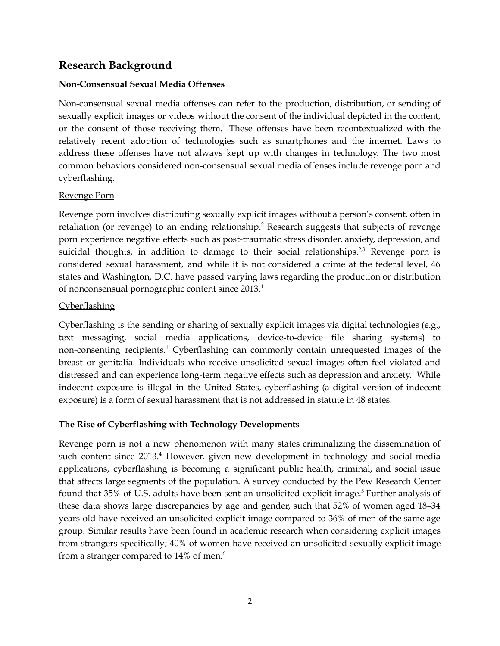## **Research Background**

#### **Non-Consensual Sexual Media Offenses**

Non-consensual sexual media offenses can refer to the production, distribution, or sending of sexually explicit images or videos without the consent of the individual depicted in the content, or the consent of those receiving them.<sup>1</sup> These offenses have been recontextualized with the relatively recent adoption of technologies such as smartphones and the internet. Laws to address these offenses have not always kept up with changes in technology. The two most common behaviors considered non-consensual sexual media offenses include revenge porn and cyberflashing.

#### Revenge Porn

Revenge porn involves distributing sexually explicit images without a person's consent, often in retaliation (or revenge) to an ending relationship. <sup>2</sup> Research suggests that subjects of revenge porn experience negative effects such as post-traumatic stress disorder, anxiety, depression, and suicidal thoughts, in addition to damage to their social relationships.<sup>2,3</sup> Revenge porn is considered sexual harassment, and while it is not considered a crime at the federal level, 46 states and Washington, D.C. have passed varying laws regarding the production or distribution of nonconsensual pornographic content since 2013. 4

#### **Cyberflashing**

Cyberflashing is the sending or sharing of sexually explicit images via digital technologies (e.g., text messaging, social media applications, device-to-device file sharing systems) to non-consenting recipients. <sup>1</sup> Cyberflashing can commonly contain unrequested images of the breast or genitalia. Individuals who receive unsolicited sexual images often feel violated and distressed and can experience long-term negative effects such as depression and anxiety. <sup>1</sup> While indecent exposure is illegal in the United States, cyberflashing (a digital version of indecent exposure) is a form of sexual harassment that is not addressed in statute in 48 states.

#### **The Rise of Cyberflashing with Technology Developments**

Revenge porn is not a new phenomenon with many states criminalizing the dissemination of such content since 2013. <sup>4</sup> However, given new development in technology and social media applications, cyberflashing is becoming a significant public health, criminal, and social issue that affects large segments of the population. A survey conducted by the Pew Research Center found that 35% of U.S. adults have been sent an unsolicited explicit image. <sup>5</sup> Further analysis of these data shows large discrepancies by age and gender, such that 52% of women aged 18–34 years old have received an unsolicited explicit image compared to 36% of men of the same age group. Similar results have been found in academic research when considering explicit images from strangers specifically; 40% of women have received an unsolicited sexually explicit image from a stranger compared to 14% of men.<sup>6</sup>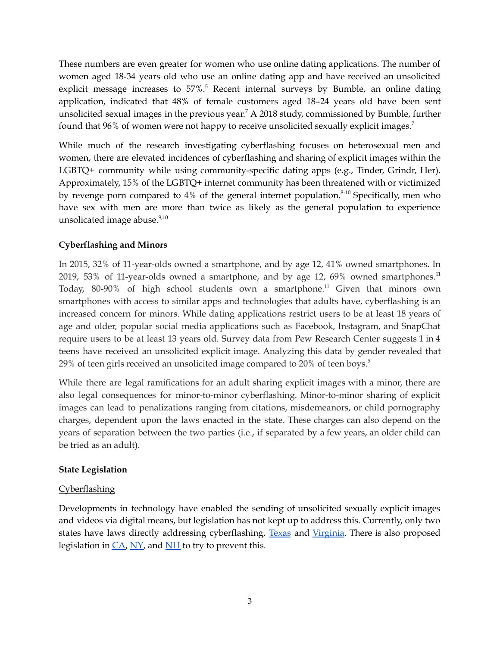These numbers are even greater for women who use online dating applications. The number of women aged 18-34 years old who use an online dating app and have received an unsolicited explicit message increases to 57%.<sup>5</sup> Recent internal surveys by Bumble, an online dating application, indicated that 48% of female customers aged 18–24 years old have been sent unsolicited sexual images in the previous year.<sup>7</sup> A 2018 study, commissioned by Bumble, further found that  $96\%$  of women were not happy to receive unsolicited sexually explicit images.<sup>7</sup>

While much of the research investigating cyberflashing focuses on heterosexual men and women, there are elevated incidences of cyberflashing and sharing of explicit images within the LGBTQ+ community while using community-specific dating apps (e.g., Tinder, Grindr, Her). Approximately, 15% of the LGBTQ+ internet community has been threatened with or victimized by revenge porn compared to 4% of the general internet population.<sup>8-10</sup> Specifically, men who have sex with men are more than twice as likely as the general population to experience unsolicated image abuse.<sup>9,10</sup>

#### **Cyberflashing and Minors**

In 2015, 32% of 11-year-olds owned a smartphone, and by age 12, 41% owned smartphones. In 2019, 53% of 11-year-olds owned a smartphone, and by age 12, 69% owned smartphones.<sup>11</sup> Today, 80-90% of high school students own a smartphone. <sup>11</sup> Given that minors own smartphones with access to similar apps and technologies that adults have, cyberflashing is an increased concern for minors. While dating applications restrict users to be at least 18 years of age and older, popular social media applications such as Facebook, Instagram, and SnapChat require users to be at least 13 years old. Survey data from Pew Research Center suggests 1 in 4 teens have received an unsolicited explicit image. Analyzing this data by gender revealed that 29% of teen girls received an unsolicited image compared to 20% of teen boys. 5

While there are legal ramifications for an adult sharing explicit images with a minor, there are also legal consequences for minor-to-minor cyberflashing. Minor-to-minor sharing of explicit images can lead to penalizations ranging from citations, misdemeanors, or child pornography charges, dependent upon the laws enacted in the state. These charges can also depend on the years of separation between the two parties (i.e., if separated by a few years, an older child can be tried as an adult).

#### **State Legislation**

#### **Cyberflashing**

Developments in technology have enabled the sending of unsolicited sexually explicit images and videos via digital means, but legislation has not kept up to address this. Currently, only two states have laws directly addressing cyberflashing, [Texas](https://statutes.capitol.texas.gov/Docs/PE/htm/PE.12.htm) and [Virginia.](https://lis.virginia.gov/cgi-bin/legp604.exe?221+sum+SB493) There is also proposed legislation in  $CA$ ,  $NY$ , and  $NH$  to try to prevent this.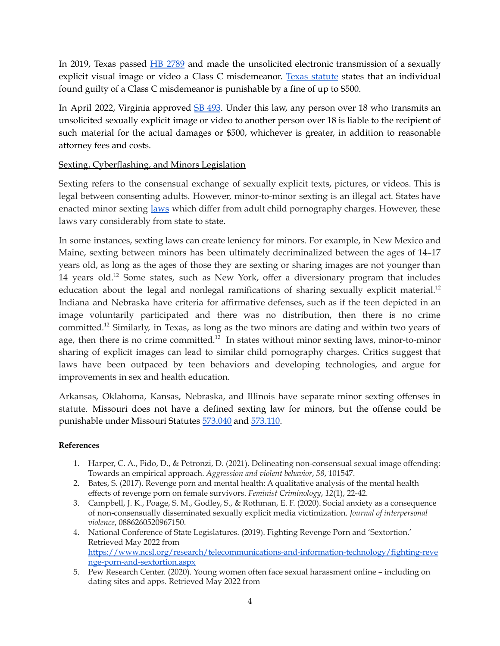In 2019, Texas passed **HB** [2789](https://legiscan.com/TX/bill/HB2789/2019) and made the unsolicited electronic transmission of a sexually explicit visual image or video a Class C misdemeanor. Texas [statute](https://statutes.capitol.texas.gov/Docs/PE/htm/PE.12.htm) states that an individual found guilty of a Class C misdemeanor is punishable by a fine of up to \$500.

In April 2022, Virginia approved SB [493](https://lis.virginia.gov/cgi-bin/legp604.exe?221+sum+SB493). Under this law, any person over 18 who transmits an unsolicited sexually explicit image or video to another person over 18 is liable to the recipient of such material for the actual damages or \$500, whichever is greater, in addition to reasonable attorney fees and costs.

#### Sexting, Cyberflashing, and Minors Legislation

Sexting refers to the consensual exchange of sexually explicit texts, pictures, or videos. This is legal between consenting adults. However, minor-to-minor sexting is an illegal act. States have enacted minor sexting [laws](https://cyberbullying.org/sexting-laws) which differ from adult child pornography charges. However, these laws vary considerably from state to state.

In some instances, sexting laws can create leniency for minors. For example, in New Mexico and Maine, sexting between minors has been ultimately decriminalized between the ages of 14–17 years old, as long as the ages of those they are sexting or sharing images are not younger than 14 years old.<sup>12</sup> Some states, such as New York, offer a diversionary program that includes education about the legal and nonlegal ramifications of sharing sexually explicit material.<sup>12</sup> Indiana and Nebraska have criteria for affirmative defenses, such as if the teen depicted in an image voluntarily participated and there was no distribution, then there is no crime committed.<sup>12</sup> Similarly, in Texas, as long as the two minors are dating and within two years of age, then there is no crime committed.<sup>12</sup> In states without minor sexting laws, minor-to-minor sharing of explicit images can lead to similar child pornography charges. Critics suggest that laws have been outpaced by teen behaviors and developing technologies, and argue for improvements in sex and health education.

Arkansas, Oklahoma, Kansas, Nebraska, and Illinois have separate minor sexting offenses in statute. Missouri does not have a defined sexting law for minors, but the offense could be punishable under Missouri Statutes [573.040](https://revisor.mo.gov/main/OneChapter.aspx?chapter=573) and [573.110.](https://revisor.mo.gov/main/OneSection.aspx?section=573.110&bid=47696&hl=)

#### **References**

- 1. Harper, C. A., Fido, D., & Petronzi, D. (2021). Delineating non-consensual sexual image offending: Towards an empirical approach. *Aggression and violent behavior*, *58*, 101547.
- 2. Bates, S. (2017). Revenge porn and mental health: A qualitative analysis of the mental health effects of revenge porn on female survivors. *Feminist Criminology*, *12*(1), 22-42.
- 3. Campbell, J. K., Poage, S. M., Godley, S., & Rothman, E. F. (2020). Social anxiety as a consequence of non-consensually disseminated sexually explicit media victimization. *Journal of interpersonal violence*, 0886260520967150.
- 4. National Conference of State Legislatures. (2019). Fighting Revenge Porn and 'Sextortion.' Retrieved May 2022 from [https://www.ncsl.org/research/telecommunications-and-information-technology/fighting-reve](https://www.ncsl.org/research/telecommunications-and-information-technology/fighting-revenge-porn-and-sextortion.aspx) [nge-porn-and-sextortion.aspx](https://www.ncsl.org/research/telecommunications-and-information-technology/fighting-revenge-porn-and-sextortion.aspx)
- 5. Pew Research Center. (2020). Young women often face sexual harassment online including on dating sites and apps. Retrieved May 2022 from